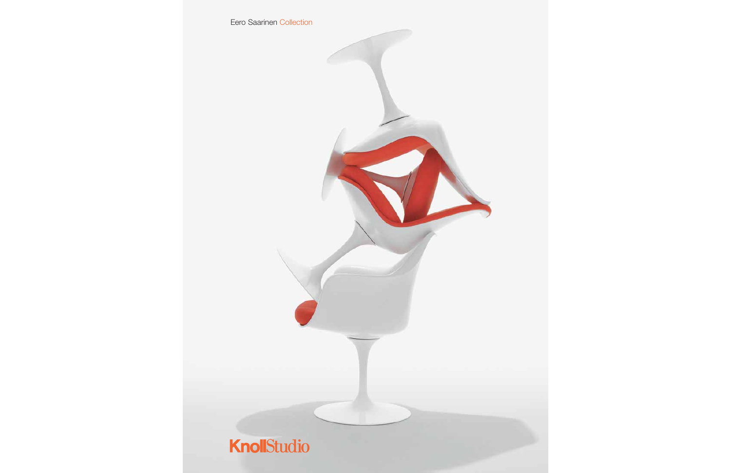Eero Saarinen Collection

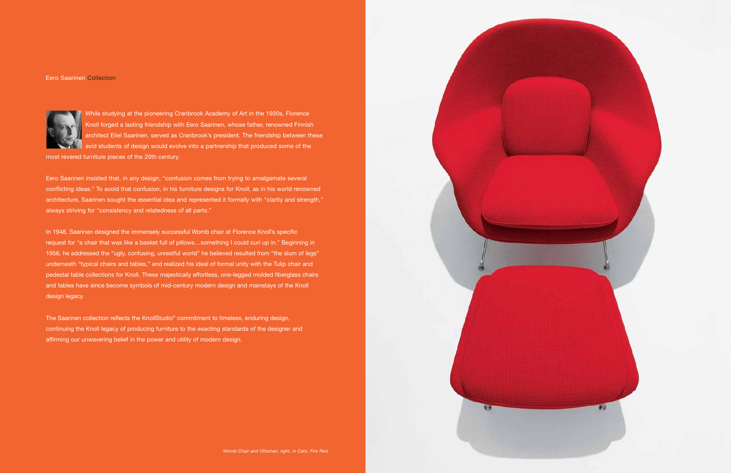Eero Saarinen Collection



While studying at the pioneering Cranbrook Academy of Art in the 1930s, Florence Knoll forged a lasting friendship with Eero Saarinen, whose father, renowned Finnish architect Eliel Saarinen, served as Cranbrook's president. The friendship between these avid students of design would evolve into a partnership that produced some of the

most revered furniture pieces of the 20th century.

Eero Saarinen insisted that, in any design, "confusion comes from trying to amalgamate several conflicting ideas." To avoid that confusion, in his furniture designs for Knoll, as in his world renowned architecture, Saarinen sought the essential idea and represented it formally with "clarity and strength," always striving for "consistency and relatedness of all parts."

In 1948, Saarinen designed the immensely successful Womb chair at Florence Knoll's specific request for "a chair that was like a basket full of pillows…something I could curl up in." Beginning in 1956, he addressed the "ugly, confusing, unrestful world" he believed resulted from "the slum of legs" underneath "typical chairs and tables," and realized his ideal of formal unity with the Tulip chair and pedestal table collections for Knoll. These majestically effortless, one-legged molded fiberglass chairs and tables have since become symbols of mid-century modern design and mainstays of the Knoll design legacy.

The Saarinen collection reflects the KnollStudio® commitment to timeless, enduring design, continuing the Knoll legacy of producing furniture to the exacting standards of the designer and affirming our unwavering belief in the power and utility of modern design.



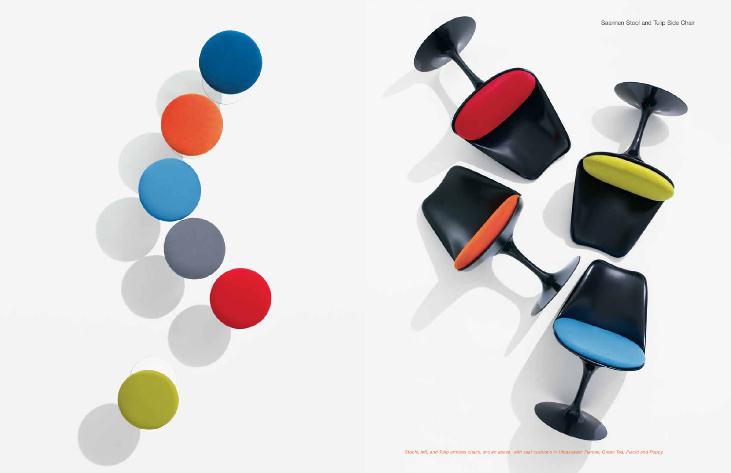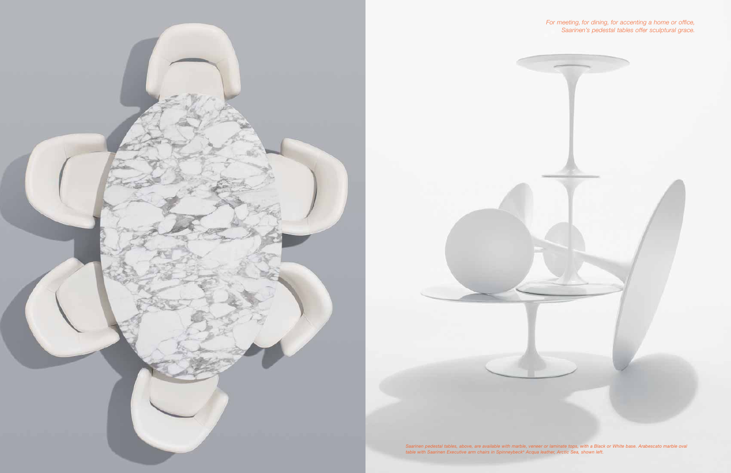





*table with Saarinen Executive arm chairs in Spinneybeck® Acqua leather, Arctic Sea, shown left.*

*For meeting, for dining, for accenting a home or office, Saarinen's pedestal tables offer sculptural grace.*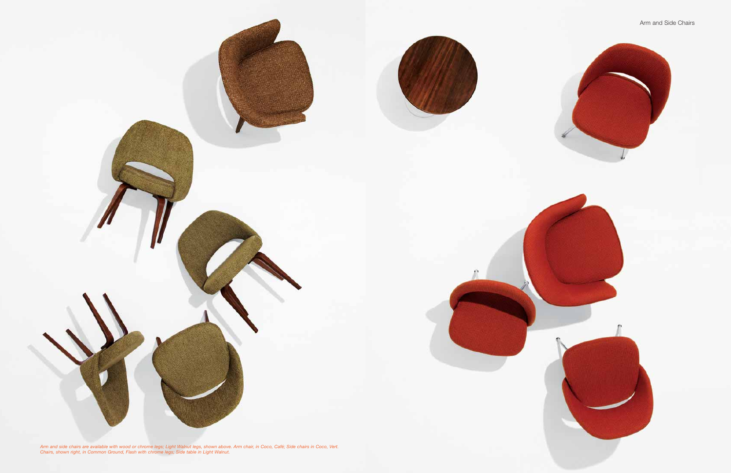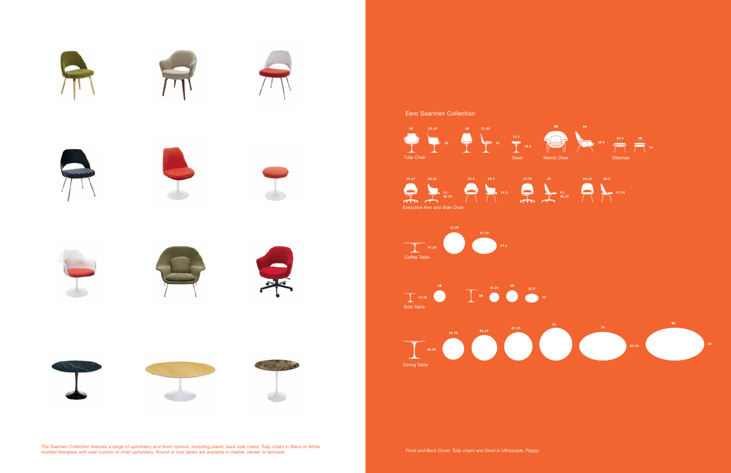

*The Saarinen Collection features a range of upholstery and finish options, including plastic back side chairs; Tulip chairs in Black or White* me baanner bonection reathes a range or apholstery, and mism options, including plastic back side chairs, rulp chairs in Dack or Wille extension of wille and Back Cover: Tulip chairs and Stool in Ultrasuede, Poppy.<br>
molded

## Eero Saarinen Collection